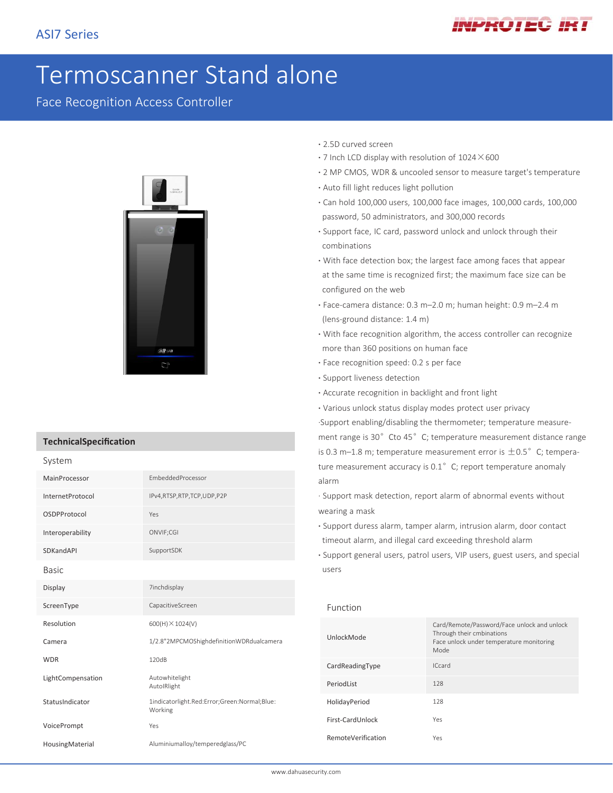## ipku i ec ik i

# Termoscanner Stand alone

#### Face Recognition Access Controller



#### **TechnicalSpecification**

| System            |                                                         |
|-------------------|---------------------------------------------------------|
| MainProcessor     | EmbeddedProcessor                                       |
| InternetProtocol  | IPv4,RTSP,RTP,TCP,UDP,P2P                               |
| OSDPProtocol      | Yes                                                     |
| Interoperability  | ONVIF;CGI                                               |
| SDKandAPI         | SupportSDK                                              |
| <b>Basic</b>      |                                                         |
| Display           | 7inchdisplay                                            |
| ScreenType        | CapacitiveScreen                                        |
| Resolution        | 600(H) × 1024(V)                                        |
| Camera            | 1/2.8"2MPCMOShighdefinitionWDRdualcamera                |
| <b>WDR</b>        | 120dB                                                   |
| LightCompensation | Autowhitelight<br>AutolRlight                           |
| StatusIndicator   | 1indicatorlight.Red:Error;Green:Normal;Blue:<br>Working |
| VoicePrompt       | Yes                                                     |
| HousingMaterial   | Aluminiumalloy/temperedglass/PC                         |

- **·**2.5D curved screen
- **·**7 Inch LCD display with resolution of 1024×600
- **·**2 MP CMOS, WDR & uncooled sensor to measure target's temperature
- **·**Auto fill light reduces light pollution
- **·**Can hold 100,000 users, 100,000 face images, 100,000 cards, 100,000 password, 50 administrators, and 300,000 records
- **·**Support face, IC card, password unlock and unlock through their combinations
- **·**With face detection box; the largest face among faces that appear at the same time is recognized first; the maximum face size can be configured on the web
- **·**Face-camera distance: 0.3 m–2.0 m; human height: 0.9 m–2.4 m (lens-ground distance: 1.4 m)
- **·**With face recognition algorithm, the access controller can recognize more than 360 positions on human face
- **·**Face recognition speed: 0.2 s per face
- **·**Support liveness detection
- **·**Accurate recognition in backlight and front light

**·**Various unlock status display modes protect user privacy ·Support enabling/disabling the thermometer; temperature measurement range is 30° Cto 45° C; temperature measurement distance range is 0.3 m–1.8 m; temperature measurement error is  $\pm$ 0.5°C; temperature measurement accuracy is 0.1° C; report temperature anomaly alarm

·Support mask detection, report alarm of abnormal events without wearing a mask

- **·**Support duress alarm, tamper alarm, intrusion alarm, door contact timeout alarm, and illegal card exceeding threshold alarm
- **·**Support general users, patrol users, VIP users, guest users, and special users

| UnlockMode                | Card/Remote/Password/Face unlock and unlock<br>Through their cmbinations<br>Face unlock under temperature monitoring<br>Mode |
|---------------------------|------------------------------------------------------------------------------------------------------------------------------|
| CardReadingType           | <b>ICcard</b>                                                                                                                |
| PeriodList                | 128                                                                                                                          |
| HolidayPeriod             | 128                                                                                                                          |
| First-CardUnlock          | Yes                                                                                                                          |
| <b>RemoteVerification</b> | Yes                                                                                                                          |

Function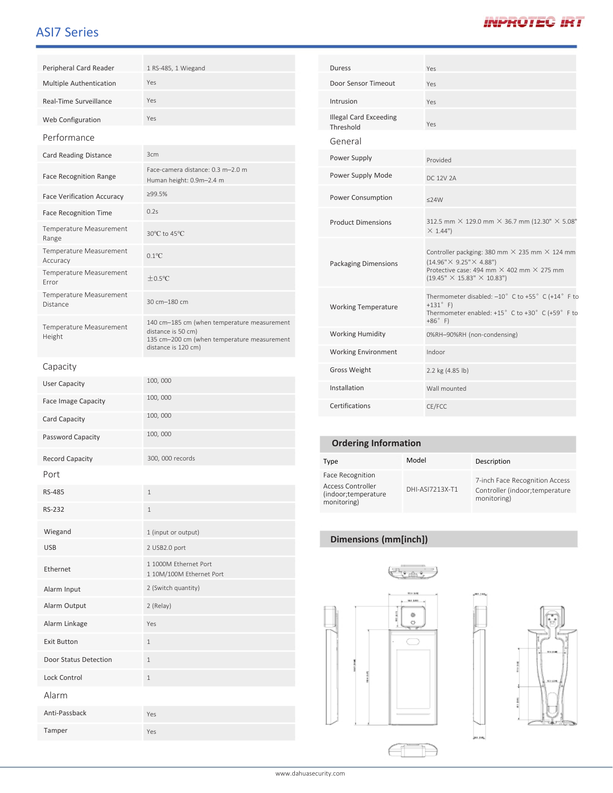## ASI7 Series

## **INPROTEC IRT**

| Peripheral Card Reader              | 1 RS-485, 1 Wiegand                                                                                                                     |  | Duress                                           | Yes                                                              |                                                                                                                                                                                                          |                                                |                                |  |
|-------------------------------------|-----------------------------------------------------------------------------------------------------------------------------------------|--|--------------------------------------------------|------------------------------------------------------------------|----------------------------------------------------------------------------------------------------------------------------------------------------------------------------------------------------------|------------------------------------------------|--------------------------------|--|
| <b>Multiple Authentication</b>      | Yes                                                                                                                                     |  | Door Sensor Timeout                              | Yes                                                              |                                                                                                                                                                                                          |                                                |                                |  |
| Real-Time Surveillance              | Yes                                                                                                                                     |  | Intrusion                                        | Yes                                                              |                                                                                                                                                                                                          |                                                |                                |  |
| Web Configuration                   | Yes                                                                                                                                     |  | <b>Illegal Card Exceeding</b><br>Threshold       |                                                                  | Yes                                                                                                                                                                                                      |                                                |                                |  |
| Performance                         |                                                                                                                                         |  | General                                          |                                                                  |                                                                                                                                                                                                          |                                                |                                |  |
| <b>Card Reading Distance</b>        | 3cm                                                                                                                                     |  | Power Supply                                     | Provided                                                         |                                                                                                                                                                                                          |                                                |                                |  |
| <b>Face Recognition Range</b>       | Face-camera distance: 0.3 m-2.0 m<br>Human height: 0.9m-2.4 m                                                                           |  | Power Supply Mode                                | DC 12V 2A                                                        |                                                                                                                                                                                                          |                                                |                                |  |
| <b>Face Verification Accuracy</b>   | ≥99.5%                                                                                                                                  |  | Power Consumption                                | $≤24W$                                                           |                                                                                                                                                                                                          |                                                |                                |  |
| <b>Face Recognition Time</b>        | 0.2s                                                                                                                                    |  |                                                  |                                                                  |                                                                                                                                                                                                          |                                                |                                |  |
| Temperature Measurement<br>Range    | 30°C to 45°C                                                                                                                            |  | <b>Product Dimensions</b>                        | 312.5 mm × 129.0 mm × 36.7 mm (12.30" × 5.08"<br>$\times$ 1.44") |                                                                                                                                                                                                          |                                                |                                |  |
| Temperature Measurement<br>Accuracy | $0.1^{\circ}C$                                                                                                                          |  | <b>Packaging Dimensions</b>                      |                                                                  | Controller packging: 380 mm $\times$ 235 mm $\times$ 124 mm<br>$(14.96" \times 9.25" \times 4.88")$<br>Protective case: 494 mm $\times$ 402 mm $\times$ 275 mm<br>$(19.45" \times 15.83" \times 10.83")$ |                                                |                                |  |
| Temperature Measurement<br>Error    | $±0.5$ °C                                                                                                                               |  |                                                  |                                                                  |                                                                                                                                                                                                          |                                                |                                |  |
| Temperature Measurement<br>Distance | 30 cm-180 cm                                                                                                                            |  | <b>Working Temperature</b>                       |                                                                  | Thermometer disabled: $-10^{\circ}$ C to +55° C (+14° F to<br>$+131^{\circ}$ F)<br>Thermometer enabled: +15° C to +30° C (+59° F to                                                                      |                                                |                                |  |
| Temperature Measurement<br>Height   | 140 cm-185 cm (when temperature measurement<br>distance is 50 cm)<br>135 cm-200 cm (when temperature measurement<br>distance is 120 cm) |  | <b>Working Humidity</b>                          |                                                                  | $+86^\circ$ F)<br>0%RH-90%RH (non-condensing)                                                                                                                                                            |                                                |                                |  |
|                                     |                                                                                                                                         |  | Working Environment                              |                                                                  | Indoor                                                                                                                                                                                                   |                                                |                                |  |
| Capacity                            |                                                                                                                                         |  | <b>Gross Weight</b>                              |                                                                  | 2.2 kg (4.85 lb)                                                                                                                                                                                         |                                                |                                |  |
| <b>User Capacity</b>                | 100,000                                                                                                                                 |  | Installation                                     |                                                                  | Wall mounted                                                                                                                                                                                             |                                                |                                |  |
| <b>Face Image Capacity</b>          | 100,000                                                                                                                                 |  | Certifications                                   |                                                                  | CE/FCC                                                                                                                                                                                                   |                                                |                                |  |
| Card Capacity                       | 100,000                                                                                                                                 |  |                                                  |                                                                  |                                                                                                                                                                                                          |                                                |                                |  |
| Password Capacity                   | 100,000                                                                                                                                 |  | <b>Ordering Information</b>                      |                                                                  |                                                                                                                                                                                                          |                                                |                                |  |
| <b>Record Capacity</b>              | 300, 000 records                                                                                                                        |  | Type                                             | Model                                                            |                                                                                                                                                                                                          | Description                                    |                                |  |
| Port                                |                                                                                                                                         |  | Face Recognition                                 |                                                                  |                                                                                                                                                                                                          |                                                | 7-inch Face Recognition Access |  |
| <b>RS-485</b>                       | $\mathbf{1}$                                                                                                                            |  | <b>Access Controller</b><br>(indoor; temperature |                                                                  | DHI-ASI7213X-T1                                                                                                                                                                                          | Controller (indoor; temperature<br>monitoring) |                                |  |
| RS-232                              | $\mathbf{1}$                                                                                                                            |  | monitoring)                                      |                                                                  |                                                                                                                                                                                                          |                                                |                                |  |
| Wiegand                             | 1 (input or output)                                                                                                                     |  |                                                  |                                                                  |                                                                                                                                                                                                          |                                                |                                |  |
| <b>USB</b>                          | 2 USB2.0 port                                                                                                                           |  | Dimensions (mm[inch])                            |                                                                  |                                                                                                                                                                                                          |                                                |                                |  |
| Ethernet                            | 1 1000M Ethernet Port<br>1 10M/100M Ethernet Port                                                                                       |  |                                                  |                                                                  |                                                                                                                                                                                                          |                                                |                                |  |
| Alarm Input                         | 2 (Switch quantity)                                                                                                                     |  |                                                  |                                                                  |                                                                                                                                                                                                          | <b>LAST CAR</b>                                |                                |  |
| Alarm Output                        | 2 (Relay)                                                                                                                               |  |                                                  | $-9150$                                                          |                                                                                                                                                                                                          |                                                |                                |  |
| Alarm Linkage                       | Yes                                                                                                                                     |  | ۰<br>o                                           |                                                                  |                                                                                                                                                                                                          |                                                |                                |  |
| <b>Exit Button</b>                  | $\mathbf{1}$                                                                                                                            |  |                                                  |                                                                  |                                                                                                                                                                                                          |                                                |                                |  |
| Door Status Detection               | $\mathbf{1}$                                                                                                                            |  |                                                  |                                                                  |                                                                                                                                                                                                          |                                                |                                |  |
| Lock Control                        | $1\,$                                                                                                                                   |  |                                                  |                                                                  |                                                                                                                                                                                                          |                                                | \$2,625                        |  |
| Alarm                               |                                                                                                                                         |  |                                                  |                                                                  |                                                                                                                                                                                                          |                                                |                                |  |
| Anti-Passback                       | Yes                                                                                                                                     |  |                                                  |                                                                  |                                                                                                                                                                                                          |                                                |                                |  |
| Tamper                              | Yes                                                                                                                                     |  |                                                  |                                                                  |                                                                                                                                                                                                          |                                                |                                |  |
|                                     |                                                                                                                                         |  |                                                  |                                                                  |                                                                                                                                                                                                          | <b>JAL ARL</b>                                 |                                |  |

 $\overline{A}$